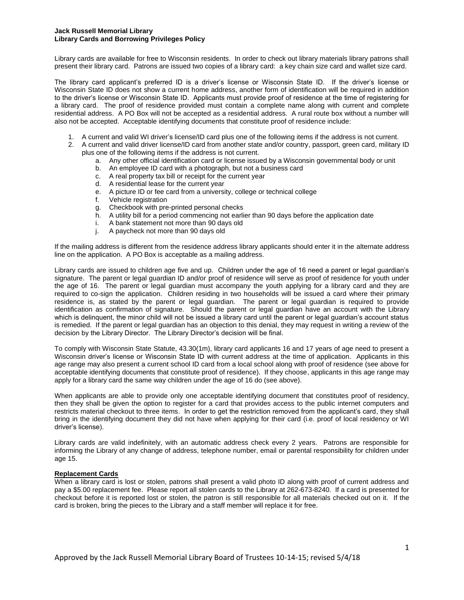#### **Jack Russell Memorial Library Library Cards and Borrowing Privileges Policy**

Library cards are available for free to Wisconsin residents. In order to check out library materials library patrons shall present their library card. Patrons are issued two copies of a library card: a key chain size card and wallet size card.

The library card applicant's preferred ID is a driver's license or Wisconsin State ID. If the driver's license or Wisconsin State ID does not show a current home address, another form of identification will be required in addition to the driver's license or Wisconsin State ID. Applicants must provide proof of residence at the time of registering for a library card. The proof of residence provided must contain a complete name along with current and complete residential address. A PO Box will not be accepted as a residential address. A rural route box without a number will also not be accepted. Acceptable identifying documents that constitute proof of residence include:

- 1. A current and valid WI driver's license/ID card plus one of the following items if the address is not current.
- 2. A current and valid driver license/ID card from another state and/or country, passport, green card, military ID plus one of the following items if the address is not current.
	- a. Any other official identification card or license issued by a Wisconsin governmental body or unit
	- b. An employee ID card with a photograph, but not a business card
	- c. A real property tax bill or receipt for the current year
	- d. A residential lease for the current year
	- e. A picture ID or fee card from a university, college or technical college
	- f. Vehicle registration
	- g. Checkbook with pre-printed personal checks
	- h. A utility bill for a period commencing not earlier than 90 days before the application date
	- i. A bank statement not more than 90 days old
	- j. A paycheck not more than 90 days old

If the mailing address is different from the residence address library applicants should enter it in the alternate address line on the application. A PO Box is acceptable as a mailing address.

Library cards are issued to children age five and up. Children under the age of 16 need a parent or legal guardian's signature. The parent or legal guardian ID and/or proof of residence will serve as proof of residence for youth under the age of 16. The parent or legal guardian must accompany the youth applying for a library card and they are required to co-sign the application. Children residing in two households will be issued a card where their primary residence is, as stated by the parent or legal guardian. The parent or legal guardian is required to provide identification as confirmation of signature. Should the parent or legal guardian have an account with the Library which is delinquent, the minor child will not be issued a library card until the parent or legal guardian's account status is remedied. If the parent or legal guardian has an objection to this denial, they may request in writing a review of the decision by the Library Director. The Library Director's decision will be final.

To comply with Wisconsin State Statute, 43.30(1m), library card applicants 16 and 17 years of age need to present a Wisconsin driver's license or Wisconsin State ID with current address at the time of application. Applicants in this age range may also present a current school ID card from a local school along with proof of residence (see above for acceptable identifying documents that constitute proof of residence). If they choose, applicants in this age range may apply for a library card the same way children under the age of 16 do (see above).

When applicants are able to provide only one acceptable identifying document that constitutes proof of residency, then they shall be given the option to register for a card that provides access to the public internet computers and restricts material checkout to three items. In order to get the restriction removed from the applicant's card, they shall bring in the identifying document they did not have when applying for their card (i.e. proof of local residency or WI driver's license).

Library cards are valid indefinitely, with an automatic address check every 2 years. Patrons are responsible for informing the Library of any change of address, telephone number, email or parental responsibility for children under age 15.

# **Replacement Cards**

When a library card is lost or stolen, patrons shall present a valid photo ID along with proof of current address and pay a \$5.00 replacement fee. Please report all stolen cards to the Library at 262-673-8240. If a card is presented for checkout before it is reported lost or stolen, the patron is still responsible for all materials checked out on it. If the card is broken, bring the pieces to the Library and a staff member will replace it for free.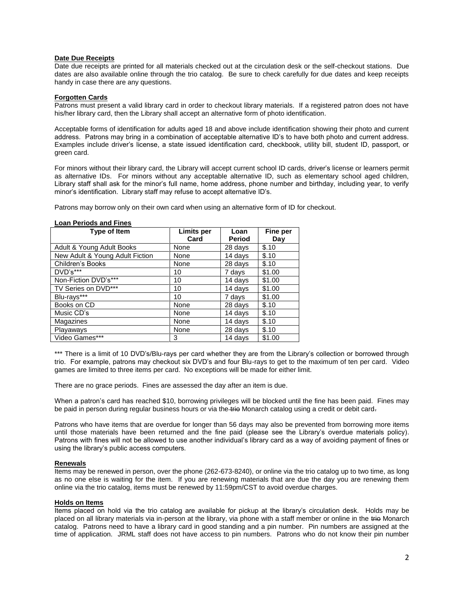## **Date Due Receipts**

Date due receipts are printed for all materials checked out at the circulation desk or the self-checkout stations. Due dates are also available online through the trio catalog. Be sure to check carefully for due dates and keep receipts handy in case there are any questions.

## **Forgotten Cards**

Patrons must present a valid library card in order to checkout library materials. If a registered patron does not have his/her library card, then the Library shall accept an alternative form of photo identification.

Acceptable forms of identification for adults aged 18 and above include identification showing their photo and current address. Patrons may bring in a combination of acceptable alternative ID's to have both photo and current address. Examples include driver's license, a state issued identification card, checkbook, utility bill, student ID, passport, or green card.

For minors without their library card, the Library will accept current school ID cards, driver's license or learners permit as alternative IDs. For minors without any acceptable alternative ID, such as elementary school aged children, Library staff shall ask for the minor's full name, home address, phone number and birthday, including year, to verify minor's identification. Library staff may refuse to accept alternative ID's.

Patrons may borrow only on their own card when using an alternative form of ID for checkout.

| LUAII I CHUUS AHU I IIICS       |                           |                |                 |  |
|---------------------------------|---------------------------|----------------|-----------------|--|
| Type of Item                    | <b>Limits per</b><br>Card | Loan<br>Period | Fine per<br>Day |  |
| Adult & Young Adult Books       | None                      | 28 days        | \$.10           |  |
| New Adult & Young Adult Fiction | None                      | 14 days        | \$.10           |  |
| Children's Books                | None                      | 28 days        | \$.10           |  |
| DVD's***                        | 10                        | 7 days         | \$1.00          |  |
| Non-Fiction DVD's***            | 10                        | 14 days        | \$1.00          |  |
| TV Series on DVD***             | 10                        | 14 days        | \$1.00          |  |
| Blu-rays***                     | 10                        | 7 days         | \$1.00          |  |
| Books on CD                     | None                      | 28 days        | \$.10           |  |
| Music CD's                      | None                      | 14 days        | \$.10           |  |
| Magazines                       | None                      | 14 days        | \$.10           |  |
| Playaways                       | None                      | 28 days        | \$.10           |  |
| Video Games***                  | 3                         | 14 days        | \$1.00          |  |

#### **Loan Periods and Fines**

\*\*\* There is a limit of 10 DVD's/Blu-rays per card whether they are from the Library's collection or borrowed through trio. For example, patrons may checkout six DVD's and four Blu-rays to get to the maximum of ten per card. Video games are limited to three items per card. No exceptions will be made for either limit.

There are no grace periods. Fines are assessed the day after an item is due.

When a patron's card has reached \$10, borrowing privileges will be blocked until the fine has been paid. Fines may be paid in person during regular business hours or via the trio Monarch catalog using a credit or debit card-

Patrons who have items that are overdue for longer than 56 days may also be prevented from borrowing more items until those materials have been returned and the fine paid (please see the Library's overdue materials policy). Patrons with fines will not be allowed to use another individual's library card as a way of avoiding payment of fines or using the library's public access computers.

#### **Renewals**

Items may be renewed in person, over the phone (262-673-8240), or online via the trio catalog up to two time, as long as no one else is waiting for the item. If you are renewing materials that are due the day you are renewing them online via the trio catalog, items must be renewed by 11:59pm/CST to avoid overdue charges.

# **Holds on Items**

Items placed on hold via the trio catalog are available for pickup at the library's circulation desk. Holds may be placed on all library materials via in-person at the library, via phone with a staff member or online in the trio Monarch catalog. Patrons need to have a library card in good standing and a pin number. Pin numbers are assigned at the time of application. JRML staff does not have access to pin numbers. Patrons who do not know their pin number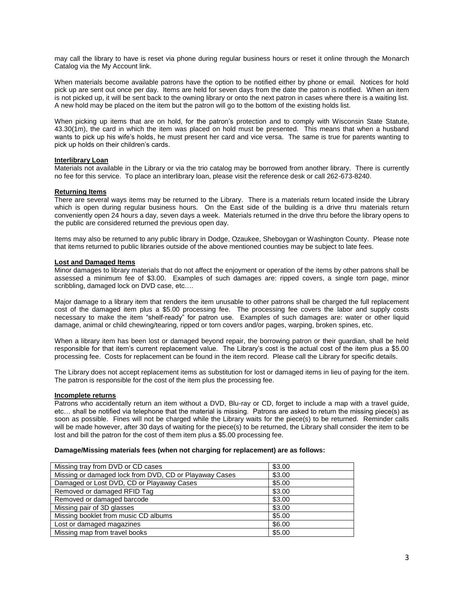may call the library to have is reset via phone during regular business hours or reset it online through the Monarch Catalog via the My Account link.

When materials become available patrons have the option to be notified either by phone or email. Notices for hold pick up are sent out once per day. Items are held for seven days from the date the patron is notified. When an item is not picked up, it will be sent back to the owning library or onto the next patron in cases where there is a waiting list. A new hold may be placed on the item but the patron will go to the bottom of the existing holds list.

When picking up items that are on hold, for the patron's protection and to comply with Wisconsin State Statute, 43.30(1m), the card in which the item was placed on hold must be presented. This means that when a husband wants to pick up his wife's holds, he must present her card and vice versa. The same is true for parents wanting to pick up holds on their children's cards.

## **Interlibrary Loan**

Materials not available in the Library or via the trio catalog may be borrowed from another library. There is currently no fee for this service. To place an interlibrary loan, please visit the reference desk or call 262-673-8240.

## **Returning Items**

There are several ways items may be returned to the Library. There is a materials return located inside the Library which is open during regular business hours. On the East side of the building is a drive thru materials return conveniently open 24 hours a day, seven days a week. Materials returned in the drive thru before the library opens to the public are considered returned the previous open day.

Items may also be returned to any public library in Dodge, Ozaukee, Sheboygan or Washington County. Please note that items returned to public libraries outside of the above mentioned counties may be subject to late fees.

#### **Lost and Damaged Items**

Minor damages to library materials that do not affect the enjoyment or operation of the items by other patrons shall be assessed a minimum fee of \$3.00. Examples of such damages are: ripped covers, a single torn page, minor scribbling, damaged lock on DVD case, etc….

Major damage to a library item that renders the item unusable to other patrons shall be charged the full replacement cost of the damaged item plus a \$5.00 processing fee. The processing fee covers the labor and supply costs necessary to make the item "shelf-ready" for patron use. Examples of such damages are: water or other liquid damage, animal or child chewing/tearing, ripped or torn covers and/or pages, warping, broken spines, etc.

When a library item has been lost or damaged beyond repair, the borrowing patron or their guardian, shall be held responsible for that item's current replacement value. The Library's cost is the actual cost of the item plus a \$5.00 processing fee. Costs for replacement can be found in the item record. Please call the Library for specific details.

The Library does not accept replacement items as substitution for lost or damaged items in lieu of paying for the item. The patron is responsible for the cost of the item plus the processing fee.

### **Incomplete returns**

Patrons who accidentally return an item without a DVD, Blu-ray or CD, forget to include a map with a travel guide, etc… shall be notified via telephone that the material is missing. Patrons are asked to return the missing piece(s) as soon as possible. Fines will not be charged while the Library waits for the piece(s) to be returned. Reminder calls will be made however, after 30 days of waiting for the piece(s) to be returned, the Library shall consider the item to be lost and bill the patron for the cost of them item plus a \$5.00 processing fee.

#### **Damage/Missing materials fees (when not charging for replacement) are as follows:**

| Missing tray from DVD or CD cases                      | \$3.00 |
|--------------------------------------------------------|--------|
| Missing or damaged lock from DVD, CD or Playaway Cases | \$3.00 |
| Damaged or Lost DVD, CD or Playaway Cases              | \$5.00 |
| Removed or damaged RFID Tag                            | \$3.00 |
| Removed or damaged barcode                             | \$3.00 |
| Missing pair of 3D glasses                             | \$3.00 |
| Missing booklet from music CD albums                   | \$5.00 |
| Lost or damaged magazines                              | \$6.00 |
| Missing map from travel books                          | \$5.00 |